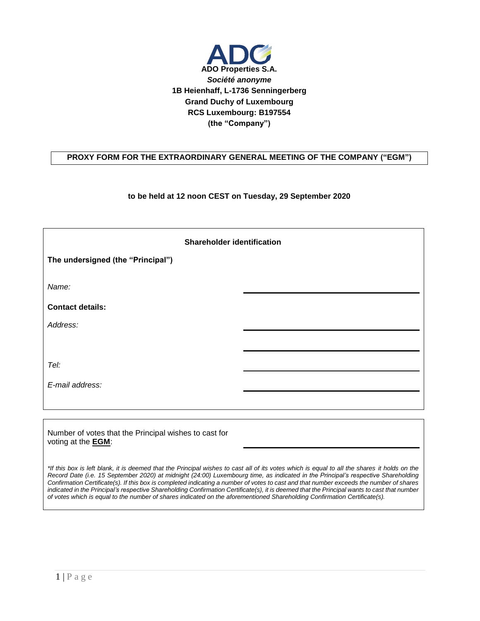

## **PROXY FORM FOR THE EXTRAORDINARY GENERAL MEETING OF THE COMPANY ("EGM")**

## **to be held at 12 noon CEST on Tuesday, 29 September 2020**

| <b>Shareholder identification</b> |  |  |  |
|-----------------------------------|--|--|--|
| The undersigned (the "Principal") |  |  |  |
| Name:                             |  |  |  |
| <b>Contact details:</b>           |  |  |  |
| Address:                          |  |  |  |
|                                   |  |  |  |
| Tel:                              |  |  |  |
| E-mail address:                   |  |  |  |
|                                   |  |  |  |

Number of votes that the Principal wishes to cast for voting at the **EGM**:

\*If this box is left blank, it is deemed that the Principal wishes to cast all of its votes which is equal to all the shares it holds on the *Record Date (i.e. 15 September 2020) at midnight (24:00) Luxembourg time, as indicated in the Principal's respective Shareholding Confirmation Certificate(s). If this box is completed indicating a number of votes to cast and that number exceeds the number of shares indicated in the Principal's respective Shareholding Confirmation Certificate(s), it is deemed that the Principal wants to cast that number of votes which is equal to the number of shares indicated on the aforementioned Shareholding Confirmation Certificate(s).*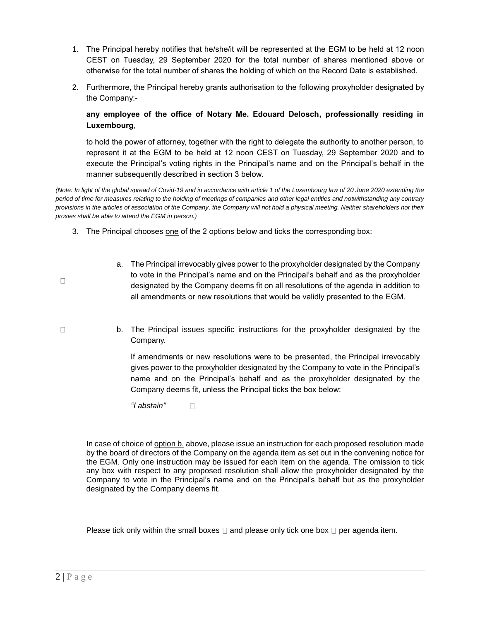- 1. The Principal hereby notifies that he/she/it will be represented at the EGM to be held at 12 noon CEST on Tuesday, 29 September 2020 for the total number of shares mentioned above or otherwise for the total number of shares the holding of which on the Record Date is established.
- 2. Furthermore, the Principal hereby grants authorisation to the following proxyholder designated by the Company:-

## **any employee of the office of Notary Me. Edouard Delosch, professionally residing in Luxembourg**,

to hold the power of attorney, together with the right to delegate the authority to another person, to represent it at the EGM to be held at 12 noon CEST on Tuesday, 29 September 2020 and to execute the Principal's voting rights in the Principal's name and on the Principal's behalf in the manner subsequently described in section 3 below.

*(Note: In light of the global spread of Covid-19 and in accordance with article 1 of the Luxembourg law of 20 June 2020 extending the period of time for measures relating to the holding of meetings of companies and other legal entities and notwithstanding any contrary provisions in the articles of association of the Company, the Company will not hold a physical meeting. Neither shareholders nor their proxies shall be able to attend the EGM in person.)*

- 3. The Principal chooses one of the 2 options below and ticks the corresponding box:
	- a. The Principal irrevocably gives power to the proxyholder designated by the Company to vote in the Principal's name and on the Principal's behalf and as the proxyholder designated by the Company deems fit on all resolutions of the agenda in addition to all amendments or new resolutions that would be validly presented to the EGM.
	- b. The Principal issues specific instructions for the proxyholder designated by the Company.

If amendments or new resolutions were to be presented, the Principal irrevocably gives power to the proxyholder designated by the Company to vote in the Principal's name and on the Principal's behalf and as the proxyholder designated by the Company deems fit, unless the Principal ticks the box below:

*"I abstain"*   $\Box$ 

In case of choice of option b. above, please issue an instruction for each proposed resolution made by the board of directors of the Company on the agenda item as set out in the convening notice for the EGM. Only one instruction may be issued for each item on the agenda. The omission to tick any box with respect to any proposed resolution shall allow the proxyholder designated by the Company to vote in the Principal's name and on the Principal's behalf but as the proxyholder designated by the Company deems fit.

Please tick only within the small boxes  $\Box$  and please only tick one box  $\Box$  per agenda item.

 $\Box$ 

 $\Box$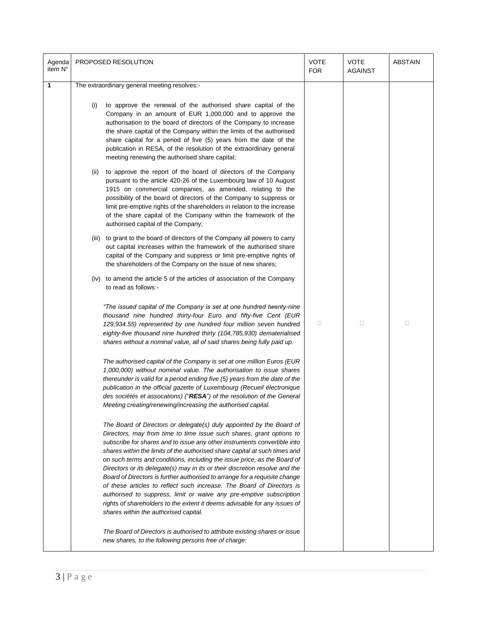| Agenda<br>item N° | PROPOSED RESOLUTION                                                                                                                                                                                                                                                                                                                                                                                                                                                                                                                                                                                                                                                                                                                                                                                                   | <b>VOTE</b><br><b>FOR</b> | <b>VOTE</b><br><b>AGAINST</b> | <b>ABSTAIN</b> |
|-------------------|-----------------------------------------------------------------------------------------------------------------------------------------------------------------------------------------------------------------------------------------------------------------------------------------------------------------------------------------------------------------------------------------------------------------------------------------------------------------------------------------------------------------------------------------------------------------------------------------------------------------------------------------------------------------------------------------------------------------------------------------------------------------------------------------------------------------------|---------------------------|-------------------------------|----------------|
| $\mathbf{1}$      | The extraordinary general meeting resolves:-                                                                                                                                                                                                                                                                                                                                                                                                                                                                                                                                                                                                                                                                                                                                                                          |                           |                               |                |
|                   | to approve the renewal of the authorised share capital of the<br>(i)<br>Company in an amount of EUR 1,000,000 and to approve the<br>authorisation to the board of directors of the Company to increase<br>the share capital of the Company within the limits of the authorised<br>share capital for a period of five (5) years from the date of the<br>publication in RESA, of the resolution of the extraordinary general<br>meeting renewing the authorised share capital;                                                                                                                                                                                                                                                                                                                                          |                           |                               |                |
|                   | to approve the report of the board of directors of the Company<br>(ii)<br>pursuant to the article 420-26 of the Luxembourg law of 10 August<br>1915 on commercial companies, as amended, relating to the<br>possibility of the board of directors of the Company to suppress or<br>limit pre-emptive rights of the shareholders in relation to the increase<br>of the share capital of the Company within the framework of the<br>authorised capital of the Company;                                                                                                                                                                                                                                                                                                                                                  |                           |                               |                |
|                   | (iii) to grant to the board of directors of the Company all powers to carry<br>out capital increases within the framework of the authorised share<br>capital of the Company and suppress or limit pre-emptive rights of<br>the shareholders of the Company on the issue of new shares;                                                                                                                                                                                                                                                                                                                                                                                                                                                                                                                                |                           |                               |                |
|                   | (iv) to amend the article 5 of the articles of association of the Company<br>to read as follows:-                                                                                                                                                                                                                                                                                                                                                                                                                                                                                                                                                                                                                                                                                                                     |                           |                               |                |
|                   | "The issued capital of the Company is set at one hundred twenty-nine<br>thousand nine hundred thirty-four Euro and fifty-five Cent (EUR<br>129,934.55) represented by one hundred four million seven hundred<br>eighty-five thousand nine hundred thirty (104,785,930) dematerialised<br>shares without a nominal value, all of said shares being fully paid up.                                                                                                                                                                                                                                                                                                                                                                                                                                                      | $\Box$                    | $\Box$                        | $\Box$         |
|                   | The authorised capital of the Company is set at one million Euros (EUR<br>1,000,000) without nominal value. The authorisation to issue shares<br>thereunder is valid for a period ending five (5) years from the date of the<br>publication in the official gazette of Luxembourg (Recueil électronique<br>des sociétés et assocations) ("RESA") of the resolution of the General<br>Meeting creating/renewing/increasing the authorised capital.                                                                                                                                                                                                                                                                                                                                                                     |                           |                               |                |
|                   | The Board of Directors or delegate(s) duly appointed by the Board of<br>Directors, may from time to time issue such shares, grant options to<br>subscribe for shares and to issue any other instruments convertible into<br>shares within the limits of the authorised share capital at such times and<br>on such terms and conditions, including the issue price, as the Board of<br>Directors or its delegate(s) may in its or their discretion resolve and the<br>Board of Directors is further authorised to arrange for a requisite change<br>of these articles to reflect such increase. The Board of Directors is<br>authorised to suppress, limit or waive any pre-emptive subscription<br>rights of shareholders to the extent it deems advisable for any issues of<br>shares within the authorised capital. |                           |                               |                |
|                   | The Board of Directors is authorised to attribute existing shares or issue<br>new shares, to the following persons free of charge:                                                                                                                                                                                                                                                                                                                                                                                                                                                                                                                                                                                                                                                                                    |                           |                               |                |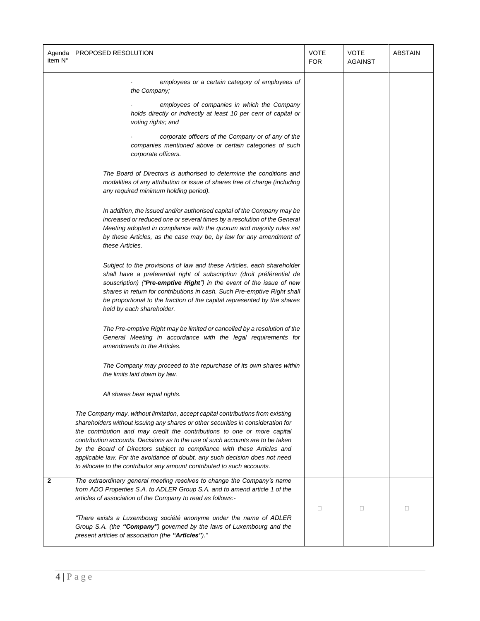| Agenda<br>item N° | PROPOSED RESOLUTION                                                                                                                                                                                                                                                                                                                                                                                                                                                                                                                                                                                                                                                                                                                                                                                                                                                                                                                                                                                                                                                                                                                                                                                                                                                                                                                                                                                                                                                                                                                                                                                       | <b>VOTE</b><br><b>FOR</b> | <b>VOTE</b><br><b>AGAINST</b> | <b>ABSTAIN</b> |
|-------------------|-----------------------------------------------------------------------------------------------------------------------------------------------------------------------------------------------------------------------------------------------------------------------------------------------------------------------------------------------------------------------------------------------------------------------------------------------------------------------------------------------------------------------------------------------------------------------------------------------------------------------------------------------------------------------------------------------------------------------------------------------------------------------------------------------------------------------------------------------------------------------------------------------------------------------------------------------------------------------------------------------------------------------------------------------------------------------------------------------------------------------------------------------------------------------------------------------------------------------------------------------------------------------------------------------------------------------------------------------------------------------------------------------------------------------------------------------------------------------------------------------------------------------------------------------------------------------------------------------------------|---------------------------|-------------------------------|----------------|
|                   | employees or a certain category of employees of<br>the Company;<br>employees of companies in which the Company<br>holds directly or indirectly at least 10 per cent of capital or<br>voting rights; and<br>corporate officers of the Company or of any of the<br>companies mentioned above or certain categories of such<br>corporate officers.<br>The Board of Directors is authorised to determine the conditions and<br>modalities of any attribution or issue of shares free of charge (including<br>any required minimum holding period).<br>In addition, the issued and/or authorised capital of the Company may be<br>increased or reduced one or several times by a resolution of the General<br>Meeting adopted in compliance with the quorum and majority rules set<br>by these Articles, as the case may be, by law for any amendment of<br>these Articles.<br>Subject to the provisions of law and these Articles, each shareholder<br>shall have a preferential right of subscription (droit préférentiel de<br>souscription) ("Pre-emptive Right") in the event of the issue of new<br>shares in return for contributions in cash. Such Pre-emptive Right shall<br>be proportional to the fraction of the capital represented by the shares<br>held by each shareholder.<br>The Pre-emptive Right may be limited or cancelled by a resolution of the<br>General Meeting in accordance with the legal requirements for<br>amendments to the Articles.<br>The Company may proceed to the repurchase of its own shares within<br>the limits laid down by law.<br>All shares bear equal rights. |                           |                               |                |
|                   | The Company may, without limitation, accept capital contributions from existing<br>shareholders without issuing any shares or other securities in consideration for<br>the contribution and may credit the contributions to one or more capital<br>contribution accounts. Decisions as to the use of such accounts are to be taken<br>by the Board of Directors subject to compliance with these Articles and<br>applicable law. For the avoidance of doubt, any such decision does not need<br>to allocate to the contributor any amount contributed to such accounts.                                                                                                                                                                                                                                                                                                                                                                                                                                                                                                                                                                                                                                                                                                                                                                                                                                                                                                                                                                                                                                   |                           |                               |                |
| $\mathbf{2}$      | The extraordinary general meeting resolves to change the Company's name<br>from ADO Properties S.A. to ADLER Group S.A. and to amend article 1 of the<br>articles of association of the Company to read as follows:-<br>"There exists a Luxembourg société anonyme under the name of ADLER<br>Group S.A. (the "Company") governed by the laws of Luxembourg and the<br>present articles of association (the "Articles")."                                                                                                                                                                                                                                                                                                                                                                                                                                                                                                                                                                                                                                                                                                                                                                                                                                                                                                                                                                                                                                                                                                                                                                                 | П                         | П                             | $\Box$         |